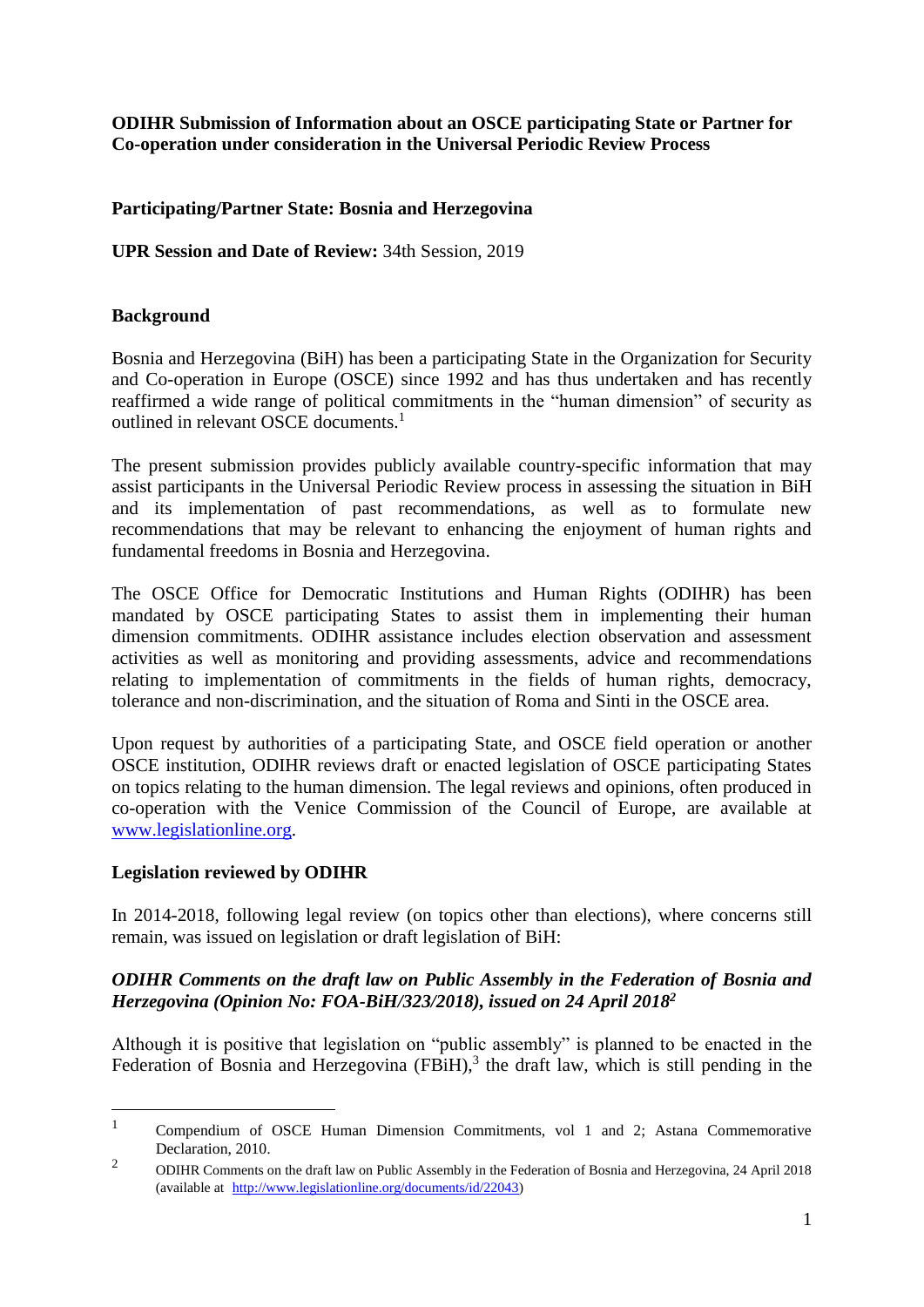## **ODIHR Submission of Information about an OSCE participating State or Partner for Co-operation under consideration in the Universal Periodic Review Process**

## **Participating/Partner State: Bosnia and Herzegovina**

**UPR Session and Date of Review:** 34th Session, 2019

## **Background**

Bosnia and Herzegovina (BiH) has been a participating State in the Organization for Security and Co-operation in Europe (OSCE) since 1992 and has thus undertaken and has recently reaffirmed a wide range of political commitments in the "human dimension" of security as outlined in relevant OSCE documents.<sup>1</sup>

The present submission provides publicly available country-specific information that may assist participants in the Universal Periodic Review process in assessing the situation in BiH and its implementation of past recommendations, as well as to formulate new recommendations that may be relevant to enhancing the enjoyment of human rights and fundamental freedoms in Bosnia and Herzegovina.

The OSCE Office for Democratic Institutions and Human Rights (ODIHR) has been mandated by OSCE participating States to assist them in implementing their human dimension commitments. ODIHR assistance includes election observation and assessment activities as well as monitoring and providing assessments, advice and recommendations relating to implementation of commitments in the fields of human rights, democracy, tolerance and non-discrimination, and the situation of Roma and Sinti in the OSCE area.

Upon request by authorities of a participating State, and OSCE field operation or another OSCE institution, ODIHR reviews draft or enacted legislation of OSCE participating States on topics relating to the human dimension. The legal reviews and opinions, often produced in co-operation with the Venice Commission of the Council of Europe, are available at [www.legislationline.org.](http://www.legislationline.org/)

#### **Legislation reviewed by ODIHR**

1

In 2014-2018, following legal review (on topics other than elections), where concerns still remain, was issued on legislation or draft legislation of BiH:

## *ODIHR Comments on the draft law on Public Assembly in the Federation of Bosnia and Herzegovina (Opinion No: FOA-BiH/323/2018), issued on 24 April 2018<sup>2</sup>*

Although it is positive that legislation on "public assembly" is planned to be enacted in the Federation of Bosnia and Herzegovina  $(FBiH)$ ,<sup>3</sup> the draft law, which is still pending in the

<sup>&</sup>lt;sup>1</sup> Compendium of OSCE Human Dimension Commitments, vol 1 and 2; Astana Commemorative Declaration, 2010.

<sup>&</sup>lt;sup>2</sup> ODIHR Comments on the draft law on Public Assembly in the Federation of Bosnia and Herzegovina, 24 April 2018 (available at [http://www.legislationline.org/documents/id/22043\)](http://www.legislationline.org/documents/id/22043)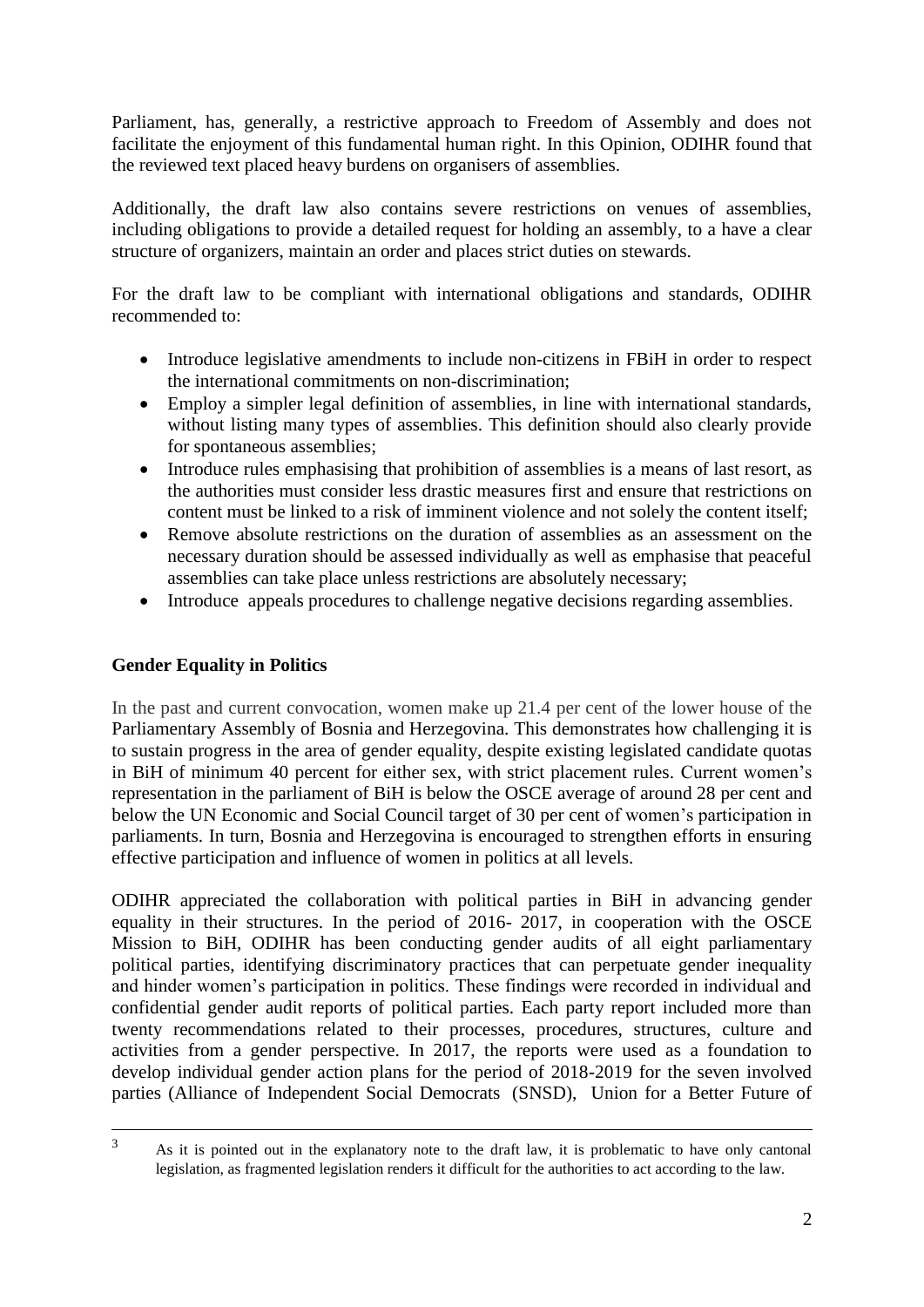Parliament, has, generally, a restrictive approach to Freedom of Assembly and does not facilitate the enjoyment of this fundamental human right. In this Opinion, ODIHR found that the reviewed text placed heavy burdens on organisers of assemblies.

Additionally, the draft law also contains severe restrictions on venues of assemblies, including obligations to provide a detailed request for holding an assembly, to a have a clear structure of organizers, maintain an order and places strict duties on stewards.

For the draft law to be compliant with international obligations and standards, ODIHR recommended to:

- Introduce legislative amendments to include non-citizens in FBiH in order to respect the international commitments on non-discrimination;
- Employ a simpler legal definition of assemblies, in line with international standards, without listing many types of assemblies. This definition should also clearly provide for spontaneous assemblies;
- Introduce rules emphasising that prohibition of assemblies is a means of last resort, as the authorities must consider less drastic measures first and ensure that restrictions on content must be linked to a risk of imminent violence and not solely the content itself;
- Remove absolute restrictions on the duration of assemblies as an assessment on the necessary duration should be assessed individually as well as emphasise that peaceful assemblies can take place unless restrictions are absolutely necessary;
- Introduce appeals procedures to challenge negative decisions regarding assemblies.

# **Gender Equality in Politics**

In the past and current convocation, women make up 21.4 per cent of the lower house of the Parliamentary Assembly of Bosnia and Herzegovina. This demonstrates how challenging it is to sustain progress in the area of gender equality, despite existing legislated candidate quotas in BiH of minimum 40 percent for either sex, with strict placement rules. Current women's representation in the parliament of BiH is below the OSCE average of around 28 per cent and below the UN Economic and Social Council target of 30 per cent of women's participation in parliaments. In turn, Bosnia and Herzegovina is encouraged to strengthen efforts in ensuring effective participation and influence of women in politics at all levels.

ODIHR appreciated the collaboration with political parties in BiH in advancing gender equality in their structures. In the period of 2016- 2017, in cooperation with the OSCE Mission to BiH, ODIHR has been conducting gender audits of all eight parliamentary political parties, identifying discriminatory practices that can perpetuate gender inequality and hinder women's participation in politics. These findings were recorded in individual and confidential gender audit reports of political parties. Each party report included more than twenty recommendations related to their processes, procedures, structures, culture and activities from a gender perspective. In 2017, the reports were used as a foundation to develop individual gender action plans for the period of 2018-2019 for the seven involved parties (Alliance of Independent Social Democrats (SNSD), Union for a Better Future of

 $\overline{\mathcal{E}}$ <sup>3</sup> As it is pointed out in the explanatory note to the draft law, it is problematic to have only cantonal legislation, as fragmented legislation renders it difficult for the authorities to act according to the law.